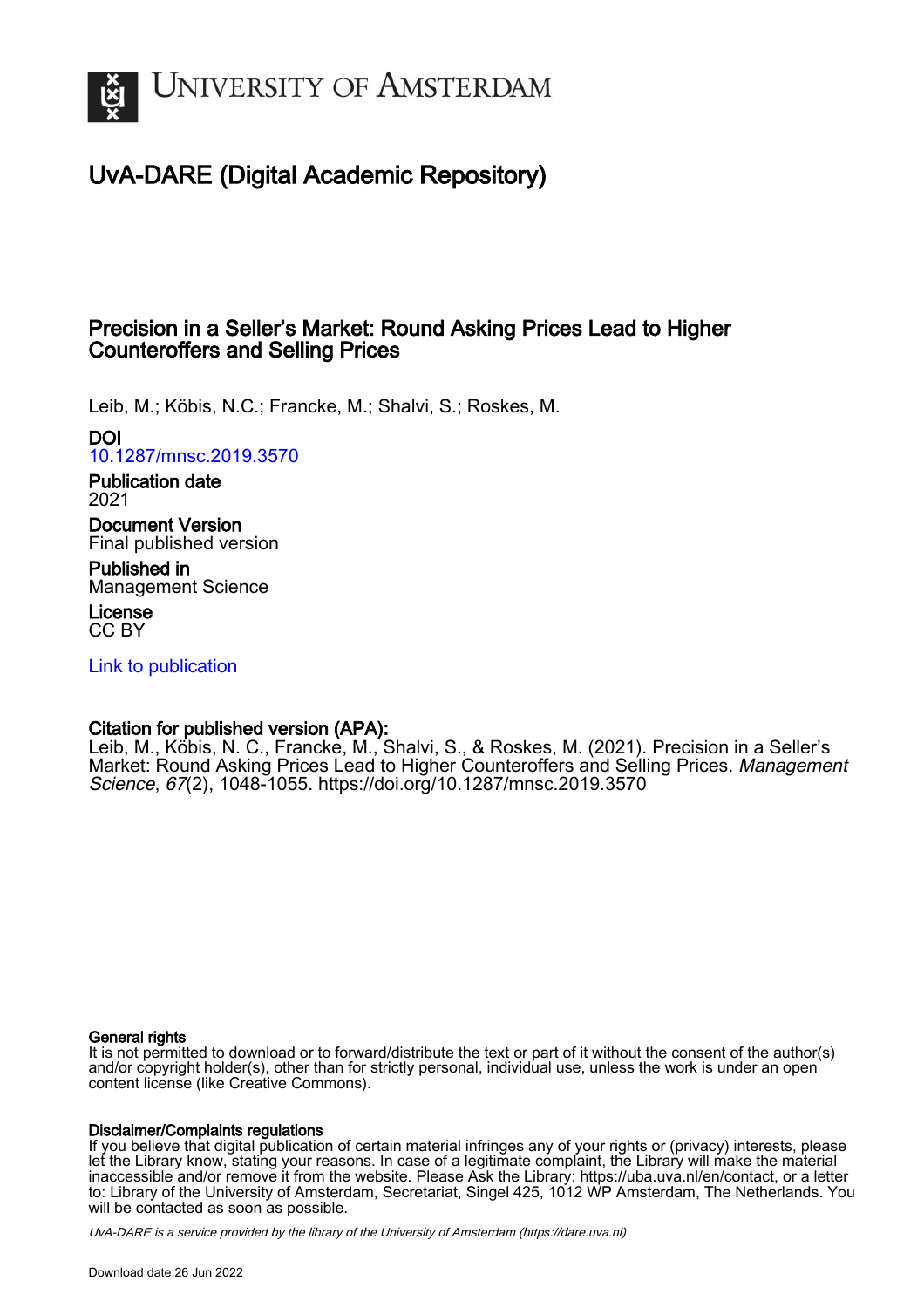

# UvA-DARE (Digital Academic Repository)

# Precision in a Seller's Market: Round Asking Prices Lead to Higher Counteroffers and Selling Prices

Leib, M.; Köbis, N.C.; Francke, M.; Shalvi, S.; Roskes, M.

DOI

[10.1287/mnsc.2019.3570](https://doi.org/10.1287/mnsc.2019.3570)

Publication date 2021

Document Version Final published version

Published in Management Science

License CC BY

[Link to publication](https://dare.uva.nl/personal/pure/en/publications/precision-in-a-sellers-market-round-asking-prices-lead-to-higher-counteroffers-and-selling-prices(2eeb3900-6cf5-4c2e-8f55-26759dde3ddb).html)

# Citation for published version (APA):

Leib, M., Köbis, N. C., Francke, M., Shalvi, S., & Roskes, M. (2021). Precision in a Seller's Market: Round Asking Prices Lead to Higher Counteroffers and Selling Prices. Management Science, 67(2), 1048-1055. <https://doi.org/10.1287/mnsc.2019.3570>

#### General rights

It is not permitted to download or to forward/distribute the text or part of it without the consent of the author(s) and/or copyright holder(s), other than for strictly personal, individual use, unless the work is under an open content license (like Creative Commons).

#### Disclaimer/Complaints regulations

If you believe that digital publication of certain material infringes any of your rights or (privacy) interests, please let the Library know, stating your reasons. In case of a legitimate complaint, the Library will make the material inaccessible and/or remove it from the website. Please Ask the Library: https://uba.uva.nl/en/contact, or a letter to: Library of the University of Amsterdam, Secretariat, Singel 425, 1012 WP Amsterdam, The Netherlands. You will be contacted as soon as possible.

UvA-DARE is a service provided by the library of the University of Amsterdam (http*s*://dare.uva.nl)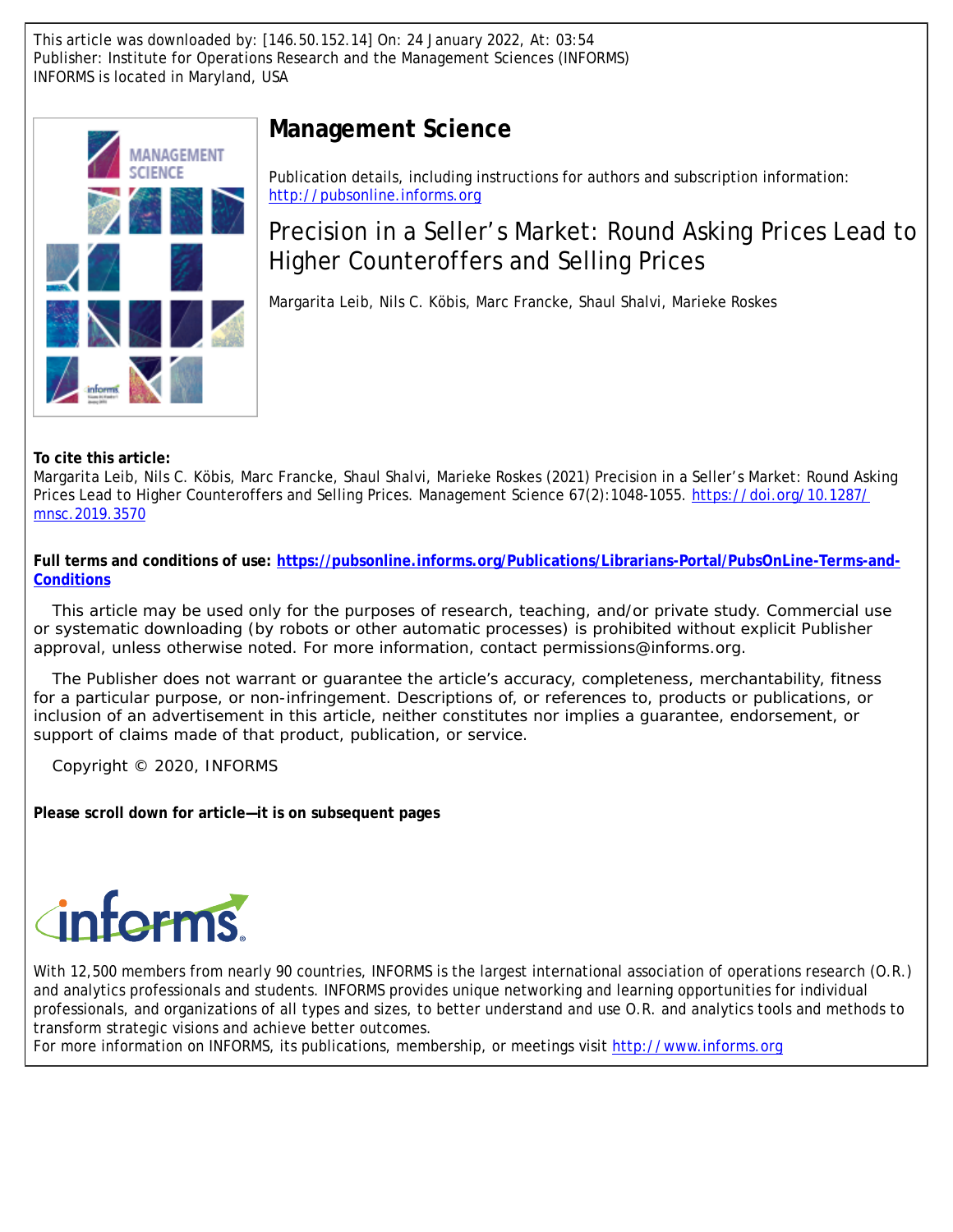This article was downloaded by: [146.50.152.14] On: 24 January 2022, At: 03:54 Publisher: Institute for Operations Research and the Management Sciences (INFORMS) INFORMS is located in Maryland, USA



# **Management Science**

Publication details, including instructions for authors and subscription information: <http://pubsonline.informs.org>

Precision in a Seller's Market: Round Asking Prices Lead to Higher Counteroffers and Selling Prices

Margarita Leib, Nils C. Köbis, Marc Francke, Shaul Shalvi, Marieke Roskes

**To cite this article:**

Margarita Leib, Nils C. Köbis, Marc Francke, Shaul Shalvi, Marieke Roskes (2021) Precision in a Seller's Market: Round Asking Prices Lead to Higher Counteroffers and Selling Prices. Management Science 67(2):1048-1055. [https://doi.org/10.1287/](https://doi.org/10.1287/mnsc.2019.3570) [mnsc.2019.3570](https://doi.org/10.1287/mnsc.2019.3570)

**Full terms and conditions of use: [https://pubsonline.informs.org/Publications/Librarians-Portal/PubsOnLine-Terms-and-](https://pubsonline.informs.org/Publications/Librarians-Portal/PubsOnLine-Terms-and-Conditions)[Conditions](https://pubsonline.informs.org/Publications/Librarians-Portal/PubsOnLine-Terms-and-Conditions)**

This article may be used only for the purposes of research, teaching, and/or private study. Commercial use or systematic downloading (by robots or other automatic processes) is prohibited without explicit Publisher approval, unless otherwise noted. For more information, contact permissions@informs.org.

The Publisher does not warrant or guarantee the article's accuracy, completeness, merchantability, fitness for a particular purpose, or non-infringement. Descriptions of, or references to, products or publications, or inclusion of an advertisement in this article, neither constitutes nor implies a guarantee, endorsement, or support of claims made of that product, publication, or service.

Copyright © 2020, INFORMS

**Please scroll down for article—it is on subsequent pages**



With 12,500 members from nearly 90 countries, INFORMS is the largest international association of operations research (O.R.) and analytics professionals and students. INFORMS provides unique networking and learning opportunities for individual professionals, and organizations of all types and sizes, to better understand and use O.R. and analytics tools and methods to transform strategic visions and achieve better outcomes.

For more information on INFORMS, its publications, membership, or meetings visit <http://www.informs.org>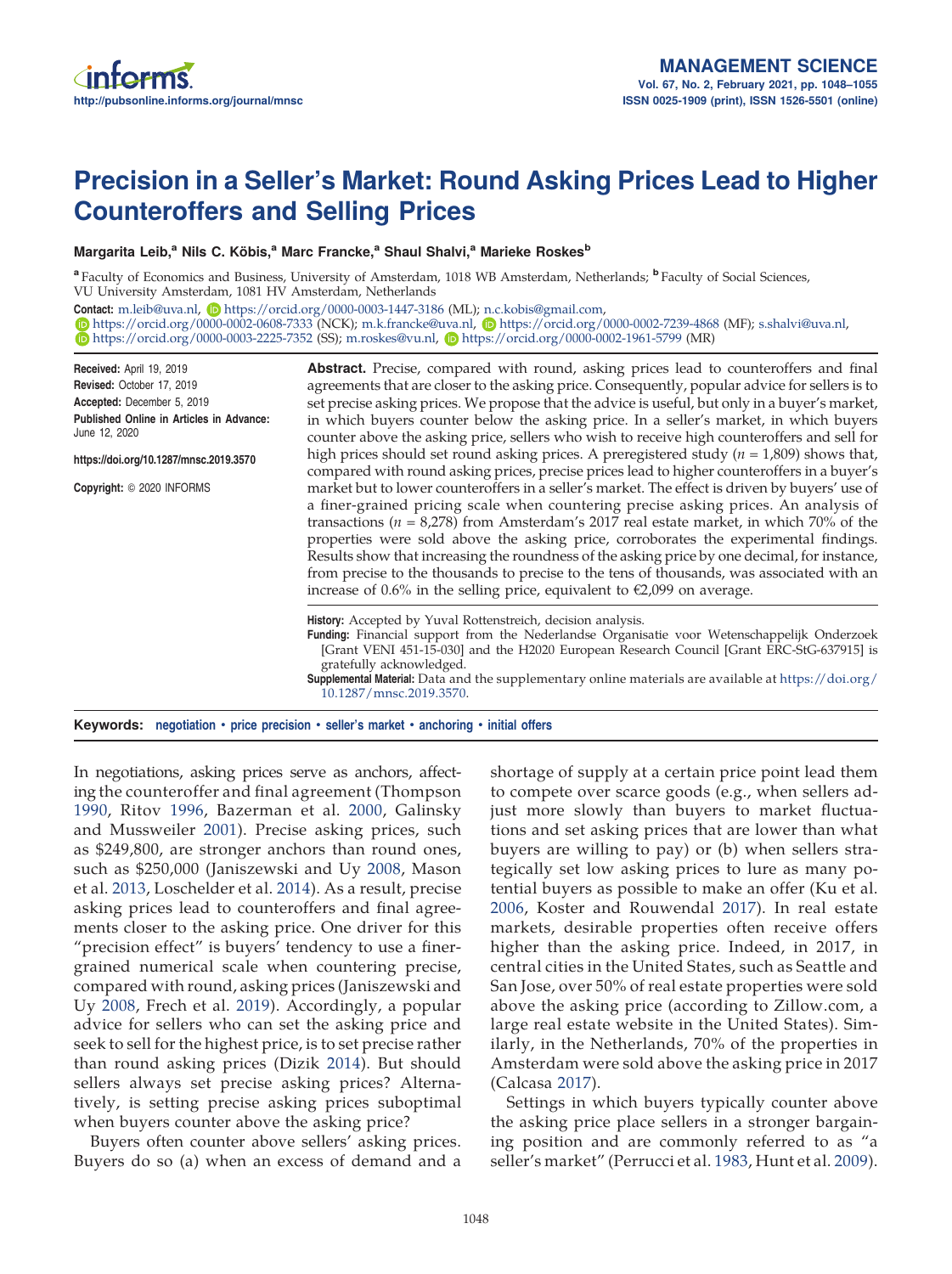# Precision in a Seller's Market: Round Asking Prices Lead to Higher Counteroffers and Selling Prices

#### Margarita Leib,<sup>a</sup> Nils C. Köbis,<sup>a</sup> Marc Francke,<sup>a</sup> Shaul Shalvi,<sup>a</sup> Marieke Roskes<sup>b</sup>

<sup>a</sup> Faculty of Economics and Business, University of Amsterdam, 1018 WB Amsterdam, Netherlands; <sup>b</sup> Faculty of Social Sciences, VU University Amsterdam, 1081 HV Amsterdam, Netherlands

Contact: [m.leib@uva.nl,](mailto:m.leib@uva.nl) D<https://orcid.org/0000-0003-1447-3186> (ML); [n.c.kobis@gmail.com,](mailto:n.c.kobis@gmail.com)

<https://orcid.org/0000-0002-0608-7333> (NCK); [m.k.francke@uva.nl,](mailto:m.k.francke@uva.nl) <https://orcid.org/0000-0002-7239-4868> (MF); [s.shalvi@uva.nl,](mailto:s.shalvi@uva.nl)  $\bullet$  <https://orcid.org/0000-0003-2225-7352> (SS); [m.roskes@vu.nl,](mailto:m.roskes@vu.nl)  $\bullet$  <https://orcid.org/0000-0002-1961-5799> (MR)

| <b>Abstract.</b> Precise, compared with round, asking prices lead to counteroffers and final                                                                                                                                                                                                                                                                                                                                                                                                                                                                                                                                                                  |  |  |  |  |  |
|---------------------------------------------------------------------------------------------------------------------------------------------------------------------------------------------------------------------------------------------------------------------------------------------------------------------------------------------------------------------------------------------------------------------------------------------------------------------------------------------------------------------------------------------------------------------------------------------------------------------------------------------------------------|--|--|--|--|--|
| agreements that are closer to the asking price. Consequently, popular advice for sellers is to                                                                                                                                                                                                                                                                                                                                                                                                                                                                                                                                                                |  |  |  |  |  |
| set precise asking prices. We propose that the advice is useful, but only in a buyer's market,                                                                                                                                                                                                                                                                                                                                                                                                                                                                                                                                                                |  |  |  |  |  |
| in which buyers counter below the asking price. In a seller's market, in which buyers<br>counter above the asking price, sellers who wish to receive high counteroffers and sell for                                                                                                                                                                                                                                                                                                                                                                                                                                                                          |  |  |  |  |  |
| high prices should set round asking prices. A preregistered study ( $n = 1,809$ ) shows that,<br>compared with round asking prices, precise prices lead to higher counteroffers in a buyer's                                                                                                                                                                                                                                                                                                                                                                                                                                                                  |  |  |  |  |  |
| market but to lower counteroffers in a seller's market. The effect is driven by buyers' use of<br>a finer-grained pricing scale when countering precise asking prices. An analysis of<br>transactions ( $n = 8,278$ ) from Amsterdam's 2017 real estate market, in which 70% of the<br>properties were sold above the asking price, corroborates the experimental findings.<br>Results show that increasing the roundness of the asking price by one decimal, for instance,<br>from precise to the thousands to precise to the tens of thousands, was associated with an<br>increase of 0.6% in the selling price, equivalent to $\epsilon$ 2,099 on average. |  |  |  |  |  |
| History: Accepted by Yuval Rottenstreich, decision analysis.<br>Funding: Financial support from the Nederlandse Organisatie voor Wetenschappelijk Onderzoek<br>[Grant VENI 451-15-030] and the H2020 European Research Council [Grant ERC-StG-637915] is<br>gratefully acknowledged.<br><b>Supplemental Material:</b> Data and the supplementary online materials are available at https://doi.org/<br>10.1287/mnsc.2019.3570.                                                                                                                                                                                                                                |  |  |  |  |  |
|                                                                                                                                                                                                                                                                                                                                                                                                                                                                                                                                                                                                                                                               |  |  |  |  |  |

Keywords: negotiation • price precision • seller's market • anchoring • initial offers

In negotiations, asking prices serve as anchors, affecting the counteroffer and final agreement (Thompson [1990](#page-9-0), Ritov [1996](#page-9-1), Bazerman et al. [2000](#page-9-2), Galinsky and Mussweiler [2001\)](#page-9-3). Precise asking prices, such as \$249,800, are stronger anchors than round ones, such as \$250,000 (Janiszewski and Uy [2008,](#page-9-4) Mason et al. [2013,](#page-9-5) Loschelder et al. [2014\)](#page-9-6). As a result, precise asking prices lead to counteroffers and final agreements closer to the asking price. One driver for this "precision effect" is buyers' tendency to use a finergrained numerical scale when countering precise, compared with round, asking prices (Janiszewski and Uy [2008,](#page-9-4) Frech et al. [2019](#page-9-7)). Accordingly, a popular advice for sellers who can set the asking price and seek to sell for the highest price, is to set precise rather than round asking prices (Dizik [2014\)](#page-9-8). But should sellers always set precise asking prices? Alternatively, is setting precise asking prices suboptimal when buyers counter above the asking price?

Buyers often counter above sellers' asking prices. Buyers do so (a) when an excess of demand and a shortage of supply at a certain price point lead them to compete over scarce goods (e.g., when sellers adjust more slowly than buyers to market fluctuations and set asking prices that are lower than what buyers are willing to pay) or (b) when sellers strategically set low asking prices to lure as many potential buyers as possible to make an offer (Ku et al. [2006](#page-9-9), Koster and Rouwendal [2017\)](#page-9-10). In real estate markets, desirable properties often receive offers higher than the asking price. Indeed, in 2017, in central cities in the United States, such as Seattle and San Jose, over 50% of real estate properties were sold above the asking price (according to Zillow.com, a large real estate website in the United States). Similarly, in the Netherlands, 70% of the properties in Amsterdam were sold above the asking price in 2017 (Calcasa [2017\)](#page-9-11).

Settings in which buyers typically counter above the asking price place sellers in a stronger bargaining position and are commonly referred to as "a seller's market" (Perrucci et al. [1983,](#page-9-12) Hunt et al. [2009\)](#page-9-13).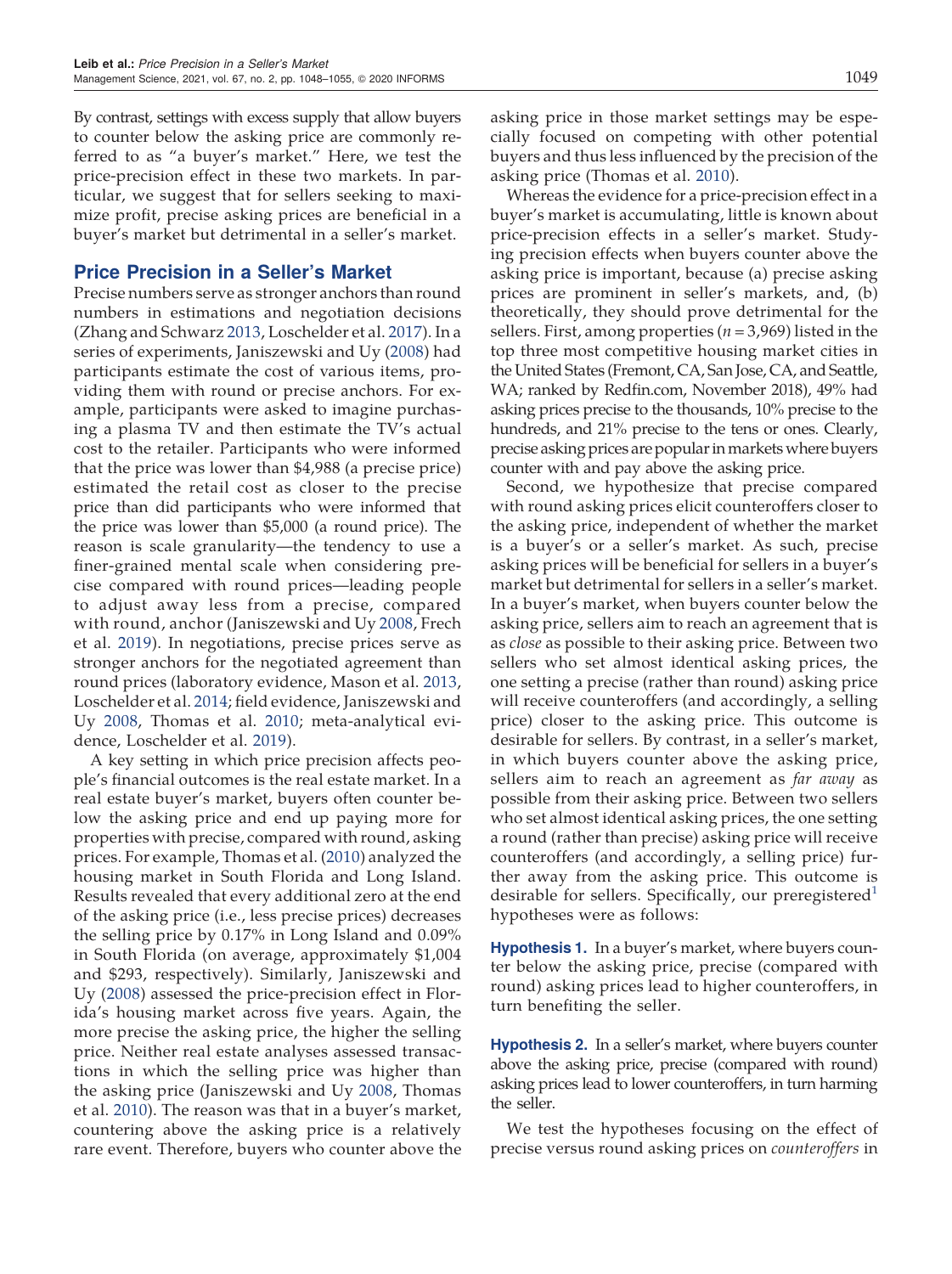By contrast, settings with excess supply that allow buyers to counter below the asking price are commonly referred to as "a buyer's market." Here, we test the price-precision effect in these two markets. In particular, we suggest that for sellers seeking to maximize profit, precise asking prices are beneficial in a buyer's market but detrimental in a seller's market.

### Price Precision in a Seller's Market

Precise numbers serve as stronger anchors than round numbers in estimations and negotiation decisions (Zhang and Schwarz [2013](#page-9-14), Loschelder et al. [2017\)](#page-9-15). In a series of experiments, Janiszewski and Uy ([2008\)](#page-9-4) had participants estimate the cost of various items, providing them with round or precise anchors. For example, participants were asked to imagine purchasing a plasma TV and then estimate the TV's actual cost to the retailer. Participants who were informed that the price was lower than \$4,988 (a precise price) estimated the retail cost as closer to the precise price than did participants who were informed that the price was lower than \$5,000 (a round price). The reason is scale granularity—the tendency to use a finer-grained mental scale when considering precise compared with round prices—leading people to adjust away less from a precise, compared with round, anchor (Janiszewski and Uy [2008](#page-9-4), Frech et al. [2019](#page-9-7)). In negotiations, precise prices serve as stronger anchors for the negotiated agreement than round prices (laboratory evidence, Mason et al. [2013](#page-9-5), Loschelder et al. [2014](#page-9-6); field evidence, Janiszewski and Uy [2008,](#page-9-4) Thomas et al. [2010;](#page-9-16) meta-analytical evidence, Loschelder et al. [2019](#page-9-17)).

A key setting in which price precision affects people's financial outcomes is the real estate market. In a real estate buyer's market, buyers often counter below the asking price and end up paying more for properties with precise, compared with round, asking prices. For example, Thomas et al. ([2010](#page-9-16)) analyzed the housing market in South Florida and Long Island. Results revealed that every additional zero at the end of the asking price (i.e., less precise prices) decreases the selling price by 0.17% in Long Island and 0.09% in South Florida (on average, approximately \$1,004 and \$293, respectively). Similarly, Janiszewski and Uy ([2008](#page-9-4)) assessed the price-precision effect in Florida's housing market across five years. Again, the more precise the asking price, the higher the selling price. Neither real estate analyses assessed transactions in which the selling price was higher than the asking price (Janiszewski and Uy [2008,](#page-9-4) Thomas et al. [2010\)](#page-9-16). The reason was that in a buyer's market, countering above the asking price is a relatively rare event. Therefore, buyers who counter above the asking price in those market settings may be especially focused on competing with other potential buyers and thus less influenced by the precision of the asking price (Thomas et al. [2010\)](#page-9-16).

Whereas the evidence for a price-precision effect in a buyer's market is accumulating, little is known about price-precision effects in a seller's market. Studying precision effects when buyers counter above the asking price is important, because (a) precise asking prices are prominent in seller's markets, and, (b) theoretically, they should prove detrimental for the sellers. First, among properties ( $n = 3,969$ ) listed in the top three most competitive housing market cities in the United States (Fremont, CA, San Jose, CA, and Seattle, WA; ranked by Redfin.com, November 2018), 49% had asking prices precise to the thousands, 10% precise to the hundreds, and 21% precise to the tens or ones. Clearly, precise asking prices are popular inmarkets where buyers counter with and pay above the asking price.

Second, we hypothesize that precise compared with round asking prices elicit counteroffers closer to the asking price, independent of whether the market is a buyer's or a seller's market. As such, precise asking prices will be beneficial for sellers in a buyer's market but detrimental for sellers in a seller's market. In a buyer's market, when buyers counter below the asking price, sellers aim to reach an agreement that is as *close* as possible to their asking price. Between two sellers who set almost identical asking prices, the one setting a precise (rather than round) asking price will receive counteroffers (and accordingly, a selling price) closer to the asking price. This outcome is desirable for sellers. By contrast, in a seller's market, in which buyers counter above the asking price, sellers aim to reach an agreement as *far away* as possible from their asking price. Between two sellers who set almost identical asking prices, the one setting a round (rather than precise) asking price will receive counteroffers (and accordingly, a selling price) further away from the asking price. This outcome is desirable for sellers. Specifically, our preregistered<sup>[1](#page-9-18)</sup> hypotheses were as follows:

**Hypothesis 1.** In a buyer's market, where buyers counter below the asking price, precise (compared with round) asking prices lead to higher counteroffers, in turn benefiting the seller.

<span id="page-3-0"></span>**Hypothesis 2.** In a seller's market, where buyers counter above the asking price, precise (compared with round) asking prices lead to lower counteroffers, in turn harming the seller.

We test the hypotheses focusing on the effect of precise versus round asking prices on counteroffers in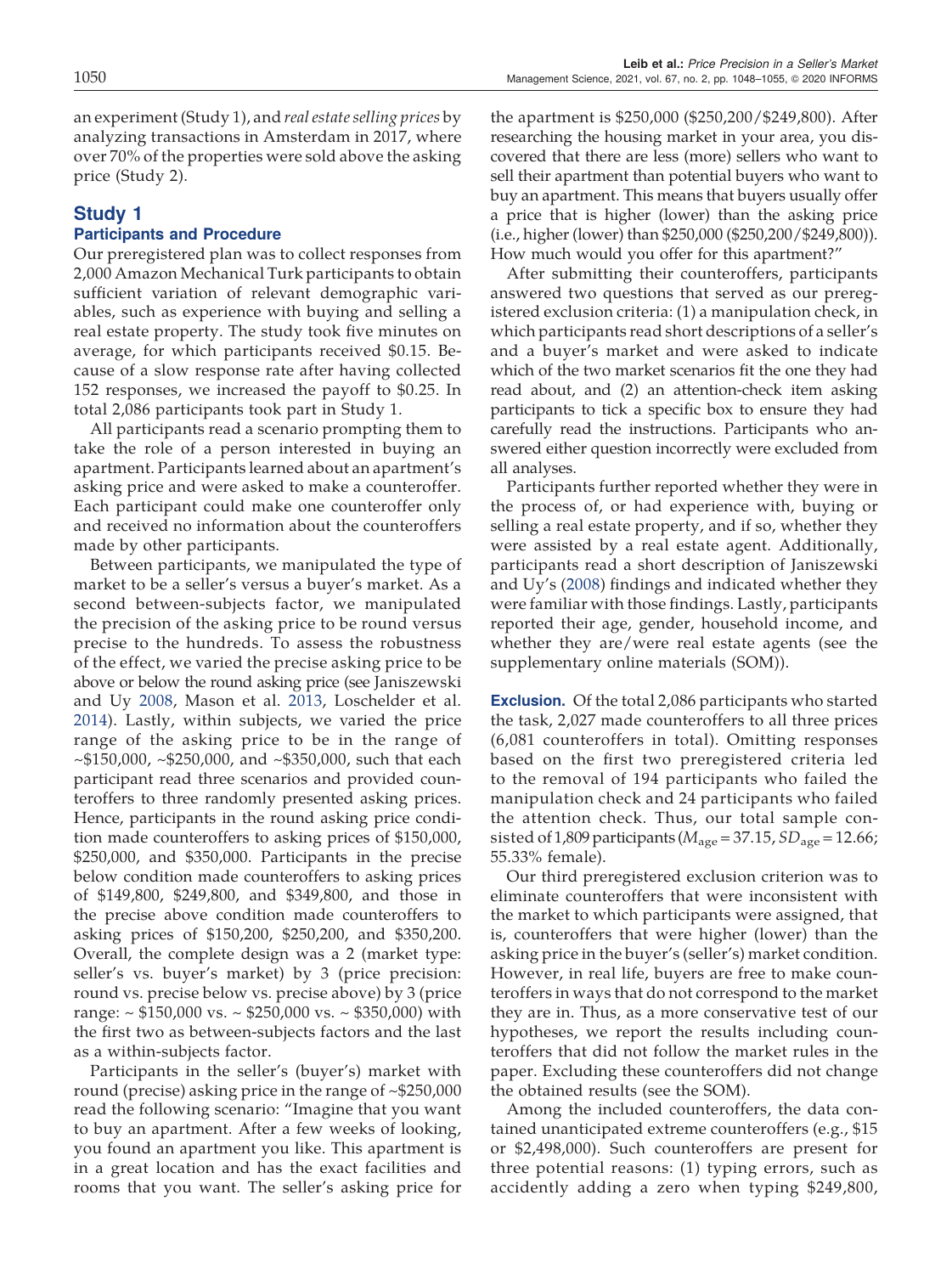an experiment (Study 1), and real estate selling prices by analyzing transactions in Amsterdam in 2017, where over 70% of the properties were sold above the asking price (Study 2).

# Study 1

#### Participants and Procedure

Our preregistered plan was to collect responses from 2,000 Amazon Mechanical Turk participants to obtain sufficient variation of relevant demographic variables, such as experience with buying and selling a real estate property. The study took five minutes on average, for which participants received \$0.15. Because of a slow response rate after having collected 152 responses, we increased the payoff to \$0.25. In total 2,086 participants took part in Study 1.

All participants read a scenario prompting them to take the role of a person interested in buying an apartment. Participants learned about an apartment's asking price and were asked to make a counteroffer. Each participant could make one counteroffer only and received no information about the counteroffers made by other participants.

Between participants, we manipulated the type of market to be a seller's versus a buyer's market. As a second between-subjects factor, we manipulated the precision of the asking price to be round versus precise to the hundreds. To assess the robustness of the effect, we varied the precise asking price to be above or below the round asking price (see Janiszewski and Uy [2008](#page-9-4), Mason et al. [2013](#page-9-5), Loschelder et al. [2014](#page-9-6)). Lastly, within subjects, we varied the price range of the asking price to be in the range of  $\sim$ \$150,000,  $\sim$ \$250,000, and  $\sim$ \$350,000, such that each participant read three scenarios and provided counteroffers to three randomly presented asking prices. Hence, participants in the round asking price condition made counteroffers to asking prices of \$150,000, \$250,000, and \$350,000. Participants in the precise below condition made counteroffers to asking prices of \$149,800, \$249,800, and \$349,800, and those in the precise above condition made counteroffers to asking prices of \$150,200, \$250,200, and \$350,200. Overall, the complete design was a 2 (market type: seller's vs. buyer's market) by 3 (price precision: round vs. precise below vs. precise above) by 3 (price range:  $\sim$  \$150,000 vs.  $\sim$  \$250,000 vs.  $\sim$  \$350,000) with the first two as between-subjects factors and the last as a within-subjects factor.

Participants in the seller's (buyer's) market with round (precise) asking price in the range of ~\$250,000 read the following scenario: "Imagine that you want to buy an apartment. After a few weeks of looking, you found an apartment you like. This apartment is in a great location and has the exact facilities and rooms that you want. The seller's asking price for

the apartment is \$250,000 (\$250,200/\$249,800). After researching the housing market in your area, you discovered that there are less (more) sellers who want to sell their apartment than potential buyers who want to buy an apartment. This means that buyers usually offer a price that is higher (lower) than the asking price (i.e., higher (lower) than \$250,000 (\$250,200/\$249,800)). How much would you offer for this apartment?"

After submitting their counteroffers, participants answered two questions that served as our preregistered exclusion criteria: (1) a manipulation check, in which participants read short descriptions of a seller's and a buyer's market and were asked to indicate which of the two market scenarios fit the one they had read about, and (2) an attention-check item asking participants to tick a specific box to ensure they had carefully read the instructions. Participants who answered either question incorrectly were excluded from all analyses.

Participants further reported whether they were in the process of, or had experience with, buying or selling a real estate property, and if so, whether they were assisted by a real estate agent. Additionally, participants read a short description of Janiszewski and Uy's ([2008\)](#page-9-4) findings and indicated whether they were familiar with those findings. Lastly, participants reported their age, gender, household income, and whether they are/were real estate agents (see the supplementary online materials (SOM)).

**Exclusion.** Of the total 2,086 participants who started the task, 2,027 made counteroffers to all three prices (6,081 counteroffers in total). Omitting responses based on the first two preregistered criteria led to the removal of 194 participants who failed the manipulation check and 24 participants who failed the attention check. Thus, our total sample consisted of 1,809 participants ( $M_{\text{age}} = 37.15$ ,  $SD_{\text{age}} = 12.66$ ; 55.33% female).

Our third preregistered exclusion criterion was to eliminate counteroffers that were inconsistent with the market to which participants were assigned, that is, counteroffers that were higher (lower) than the asking price in the buyer's (seller's) market condition. However, in real life, buyers are free to make counteroffers in ways that do not correspond to the market they are in. Thus, as a more conservative test of our hypotheses, we report the results including counteroffers that did not follow the market rules in the paper. Excluding these counteroffers did not change the obtained results (see the SOM).

Among the included counteroffers, the data contained unanticipated extreme counteroffers (e.g., \$15 or \$2,498,000). Such counteroffers are present for three potential reasons: (1) typing errors, such as accidently adding a zero when typing \$249,800,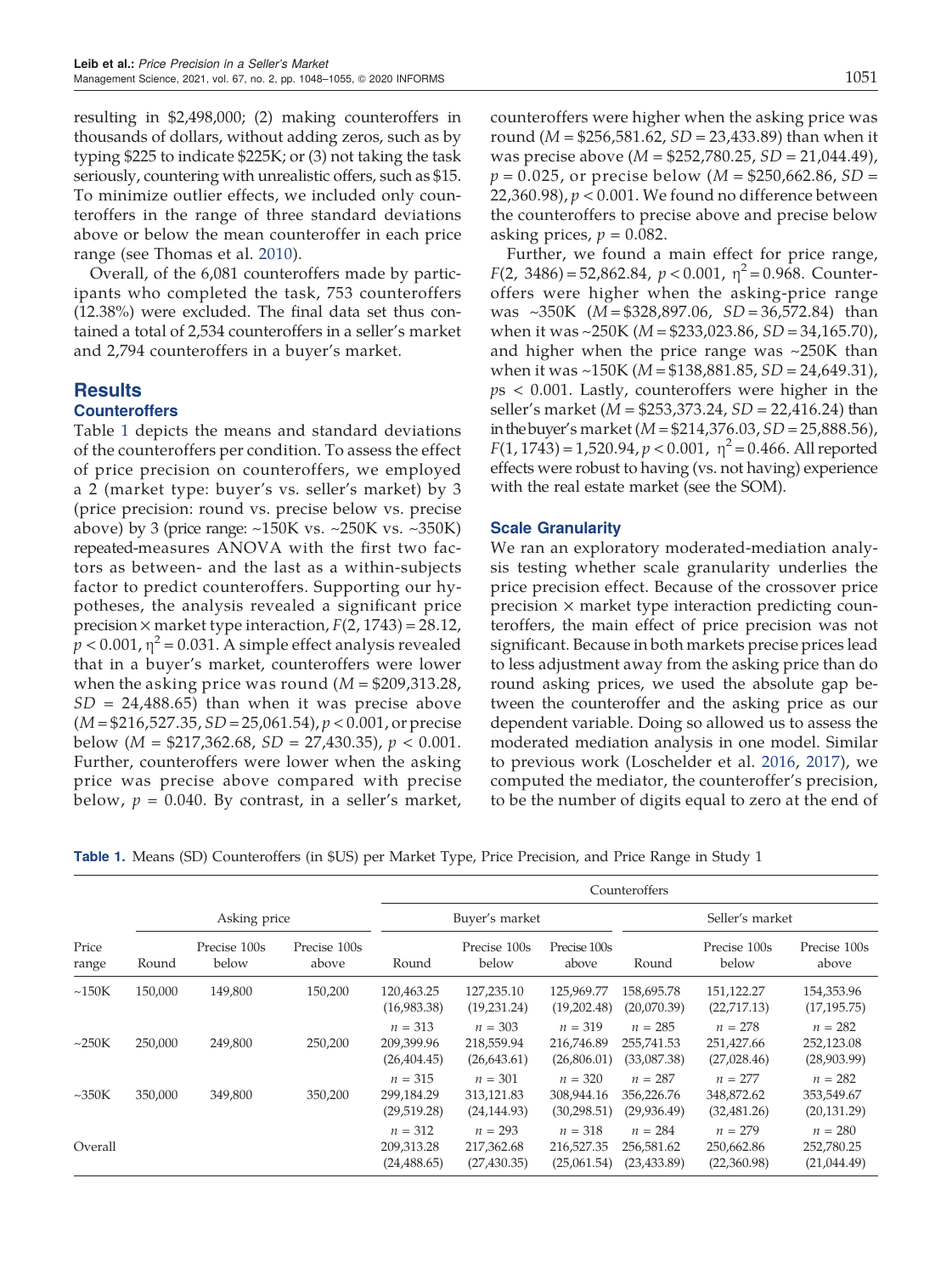resulting in \$2,498,000; (2) making counteroffers in thousands of dollars, without adding zeros, such as by typing \$225 to indicate \$225K; or (3) not taking the task seriously, countering with unrealistic offers, such as \$15. To minimize outlier effects, we included only counteroffers in the range of three standard deviations above or below the mean counteroffer in each price range (see Thomas et al. [2010\)](#page-9-16).

Overall, of the 6,081 counteroffers made by participants who completed the task, 753 counteroffers (12.38%) were excluded. The final data set thus contained a total of 2,534 counteroffers in a seller's market and 2,794 counteroffers in a buyer's market.

### **Results Counteroffers**

Table [1](#page-5-0) depicts the means and standard deviations of the counteroffers per condition. To assess the effect of price precision on counteroffers, we employed a 2 (market type: buyer's vs. seller's market) by 3 (price precision: round vs. precise below vs. precise above) by 3 (price range:  $~150K$  vs.  $~250K$  vs.  $~350K$ ) repeated-measures ANOVA with the first two factors as between- and the last as a within-subjects factor to predict counteroffers. Supporting our hypotheses, the analysis revealed a significant price precision  $\times$  market type interaction,  $F(2, 1743) = 28.12$ ,  $p < 0.001$ ,  $\eta^2 = 0.031$ . A simple effect analysis revealed that in a buyer's market, counteroffers were lower when the asking price was round  $(M = $209,313.28,$  $SD = 24,488.65$ ) than when it was precise above  $(M = $216,527.35, SD = 25,061.54), p < 0.001$ , or precise below  $(M = $217,362.68, SD = 27,430.35), p < 0.001$ . Further, counteroffers were lower when the asking price was precise above compared with precise below,  $p = 0.040$ . By contrast, in a seller's market, counteroffers were higher when the asking price was round ( $M = $256,581.62, SD = 23,433.89$ ) than when it was precise above ( $M = $252,780.25, SD = 21,044.49$ ),  $p = 0.025$ , or precise below (M = \$250,662.86, SD = 22,360.98),  $p < 0.001$ . We found no difference between

asking prices,  $p = 0.082$ . Further, we found a main effect for price range,  $F(2, 3486) = 52,862.84, p < 0.001, \eta^2 = 0.968$ . Counteroffers were higher when the asking-price range was  $\sim$ 350K (M = \$328,897.06, SD = 36,572.84) than when it was ~250K ( $M = $233,023.86, SD = 34,165.70$ ), and higher when the price range was ~250K than when it was ~150K ( $M = $138,881.85, SD = 24,649.31$ ),  $ps < 0.001$ . Lastly, counteroffers were higher in the seller's market (M = \$253,373.24, SD = 22,416.24) than in the buyer's market  $(M = $214,376.03, SD = 25,888.56)$ ,  $F(1, 1743) = 1,520.94, p < 0.001, \eta^2 = 0.466$ . All reported effects were robust to having (vs. not having) experience with the real estate market (see the SOM).

the counteroffers to precise above and precise below

#### Scale Granularity

We ran an exploratory moderated-mediation analysis testing whether scale granularity underlies the price precision effect. Because of the crossover price precision  $\times$  market type interaction predicting counteroffers, the main effect of price precision was not significant. Because in both markets precise prices lead to less adjustment away from the asking price than do round asking prices, we used the absolute gap between the counteroffer and the asking price as our dependent variable. Doing so allowed us to assess the moderated mediation analysis in one model. Similar to previous work (Loschelder et al. [2016](#page-9-19), [2017](#page-9-15)), we computed the mediator, the counteroffer's precision, to be the number of digits equal to zero at the end of

<span id="page-5-0"></span>Table 1. Means (SD) Counteroffers (in \$US) per Market Type, Price Precision, and Price Range in Study 1

|                |              |                       |                       |                                         | Counteroffers                           |                                         |                                         |                                         |                                         |  |  |
|----------------|--------------|-----------------------|-----------------------|-----------------------------------------|-----------------------------------------|-----------------------------------------|-----------------------------------------|-----------------------------------------|-----------------------------------------|--|--|
|                | Asking price |                       |                       | Buyer's market                          |                                         |                                         | Seller's market                         |                                         |                                         |  |  |
| Price<br>range | Round        | Precise 100s<br>below | Precise 100s<br>above | Round                                   | Precise 100s<br>below                   | Precise 100s<br>above                   | Round                                   | Precise 100s<br>below                   | Precise 100s<br>above                   |  |  |
| ~150K          | 150,000      | 149,800               | 150,200               | 120,463.25<br>(16,983.38)               | 127,235.10<br>(19,231.24)               | 125,969.77<br>(19,202.48)               | 158,695.78<br>(20,070.39)               | 151,122.27<br>(22,717.13)               | 154,353.96<br>(17, 195.75)              |  |  |
| $\sim$ 250K    | 250,000      | 249,800               | 250,200               | $n = 313$<br>209,399.96<br>(26, 404.45) | $n = 303$<br>218,559.94<br>(26,643.61)  | $n = 319$<br>216,746.89<br>(26,806.01)  | $n = 285$<br>255,741.53<br>(33,087.38)  | $n = 278$<br>251,427.66<br>(27,028.46)  | $n = 282$<br>252,123.08<br>(28,903.99)  |  |  |
| $\sim$ 350K    | 350,000      | 349,800               | 350,200               | $n = 315$<br>299,184.29<br>(29,519.28)  | $n = 301$<br>313,121.83<br>(24, 144.93) | $n = 320$<br>308,944.16<br>(30, 298.51) | $n = 287$<br>356,226.76<br>(29, 936.49) | $n = 277$<br>348,872.62<br>(32, 481.26) | $n = 282$<br>353,549.67<br>(20, 131.29) |  |  |
| Overall        |              |                       |                       | $n = 312$<br>209,313.28<br>(24, 488.65) | $n = 293$<br>217,362.68<br>(27, 430.35) | $n = 318$<br>216,527.35<br>(25,061.54)  | $n = 284$<br>256,581.62<br>(23, 433.89) | $n = 279$<br>250,662.86<br>(22,360.98)  | $n = 280$<br>252,780.25<br>(21,044.49)  |  |  |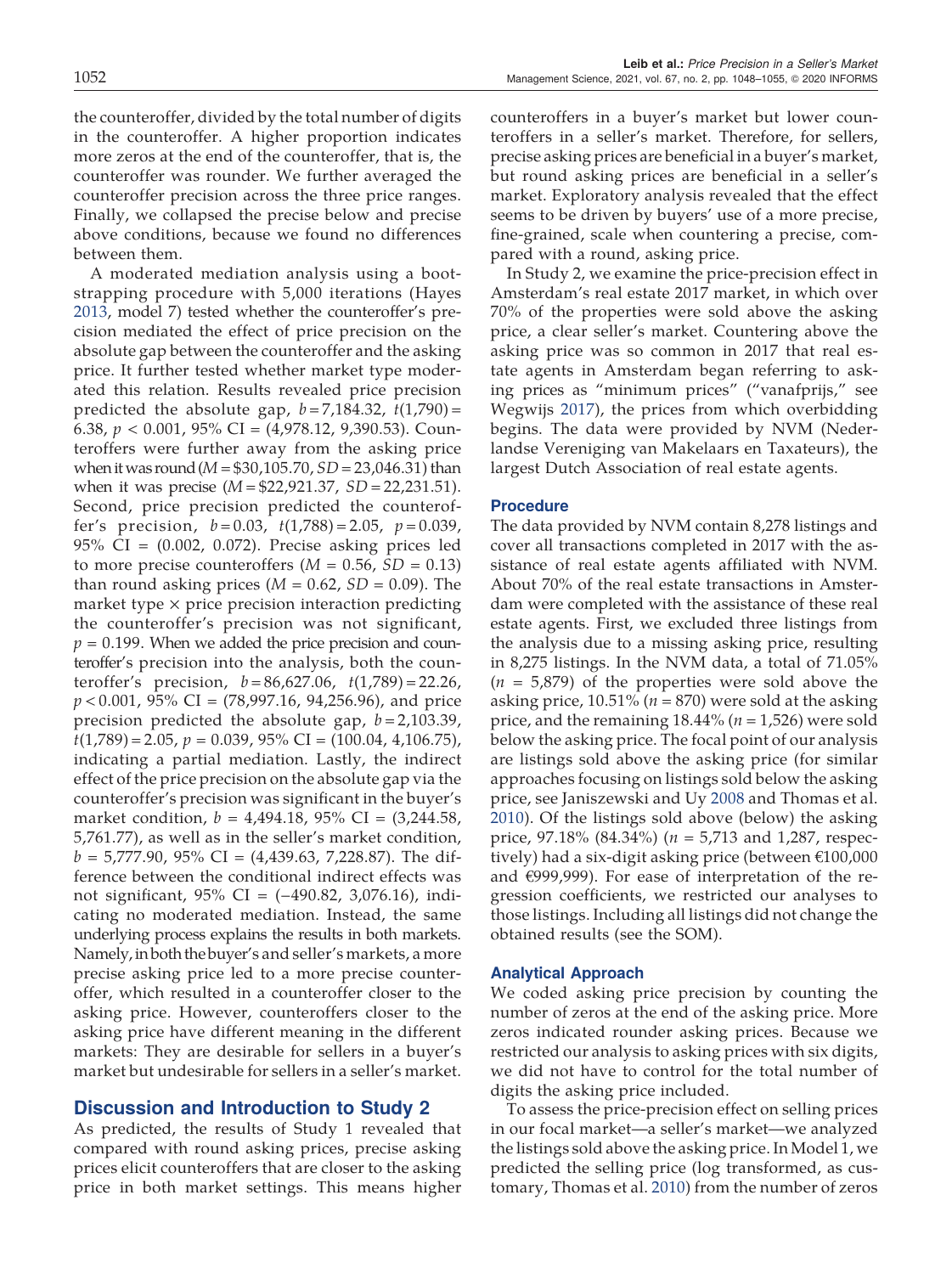the counteroffer, divided by the total number of digits in the counteroffer. A higher proportion indicates more zeros at the end of the counteroffer, that is, the counteroffer was rounder. We further averaged the counteroffer precision across the three price ranges. Finally, we collapsed the precise below and precise above conditions, because we found no differences between them.

A moderated mediation analysis using a bootstrapping procedure with 5,000 iterations (Hayes [2013](#page-9-20), model 7) tested whether the counteroffer's precision mediated the effect of price precision on the absolute gap between the counteroffer and the asking price. It further tested whether market type moderated this relation. Results revealed price precision predicted the absolute gap,  $b = 7,184.32$ ,  $t(1,790) =$ 6.38,  $p < 0.001$ , 95% CI = (4,978.12, 9,390.53). Counteroffers were further away from the asking price when it was round ( $M = $30,105.70$ ,  $SD = 23,046.31$ ) than when it was precise  $(M = $22,921.37, SD = 22,231.51)$ . Second, price precision predicted the counteroffer's precision,  $b = 0.03$ ,  $t(1,788) = 2.05$ ,  $p = 0.039$ , 95% CI = (0.002, 0.072). Precise asking prices led to more precise counteroffers  $(M = 0.56, SD = 0.13)$ than round asking prices ( $M = 0.62$ ,  $SD = 0.09$ ). The market type  $\times$  price precision interaction predicting the counteroffer's precision was not significant,  $p = 0.199$ . When we added the price precision and counteroffer's precision into the analysis, both the counteroffer's precision,  $b = 86,627.06$ ,  $t(1,789) = 22.26$ ,  $p < 0.001$ , 95% CI = (78,997.16, 94,256.96), and price precision predicted the absolute gap,  $b = 2,103.39$ ,  $t(1,789) = 2.05$ ,  $p = 0.039$ ,  $95\%$  CI =  $(100.04, 4, 106.75)$ , indicating a partial mediation. Lastly, the indirect effect of the price precision on the absolute gap via the counteroffer's precision was significant in the buyer's market condition,  $b = 4,494.18$ , 95% CI =  $(3,244.58)$ , 5,761.77), as well as in the seller's market condition,  $b = 5,777.90, 95\% \text{ CI} = (4,439.63, 7,228.87).$  The difference between the conditional indirect effects was not significant, 95% CI = (−490.82, 3,076.16), indicating no moderated mediation. Instead, the same underlying process explains the results in both markets. Namely,in both the buyer's and seller's markets, a more precise asking price led to a more precise counteroffer, which resulted in a counteroffer closer to the asking price. However, counteroffers closer to the asking price have different meaning in the different markets: They are desirable for sellers in a buyer's market but undesirable for sellers in a seller's market.

#### Discussion and Introduction to Study 2

As predicted, the results of Study 1 revealed that compared with round asking prices, precise asking prices elicit counteroffers that are closer to the asking price in both market settings. This means higher counteroffers in a buyer's market but lower counteroffers in a seller's market. Therefore, for sellers, precise asking prices are beneficial in a buyer's market, but round asking prices are beneficial in a seller's market. Exploratory analysis revealed that the effect seems to be driven by buyers' use of a more precise, fine-grained, scale when countering a precise, compared with a round, asking price.

In Study 2, we examine the price-precision effect in Amsterdam's real estate 2017 market, in which over 70% of the properties were sold above the asking price, a clear seller's market. Countering above the asking price was so common in 2017 that real estate agents in Amsterdam began referring to asking prices as "minimum prices" ("vanafprijs," see Wegwijs [2017\)](#page-9-21), the prices from which overbidding begins. The data were provided by NVM (Nederlandse Vereniging van Makelaars en Taxateurs), the largest Dutch Association of real estate agents.

#### Procedure

The data provided by NVM contain 8,278 listings and cover all transactions completed in 2017 with the assistance of real estate agents affiliated with NVM. About 70% of the real estate transactions in Amsterdam were completed with the assistance of these real estate agents. First, we excluded three listings from the analysis due to a missing asking price, resulting in 8,275 listings. In the NVM data, a total of 71.05%  $(n = 5,879)$  of the properties were sold above the asking price,  $10.51\%$  ( $n = 870$ ) were sold at the asking price, and the remaining  $18.44\%$  ( $n = 1,526$ ) were sold below the asking price. The focal point of our analysis are listings sold above the asking price (for similar approaches focusing on listings sold below the asking price, see Janiszewski and Uy [2008](#page-9-4) and Thomas et al. [2010](#page-9-16)). Of the listings sold above (below) the asking price, 97.18% (84.34%) ( $n = 5.713$  and 1,287, respectively) had a six-digit asking price (between €100,000 and €999,999). For ease of interpretation of the regression coefficients, we restricted our analyses to those listings. Including all listings did not change the obtained results (see the SOM).

#### Analytical Approach

We coded asking price precision by counting the number of zeros at the end of the asking price. More zeros indicated rounder asking prices. Because we restricted our analysis to asking prices with six digits, we did not have to control for the total number of digits the asking price included.

To assess the price-precision effect on selling prices in our focal market—a seller's market—we analyzed the listings sold above the asking price. In Model 1, we predicted the selling price (log transformed, as customary, Thomas et al. [2010](#page-9-16)) from the number of zeros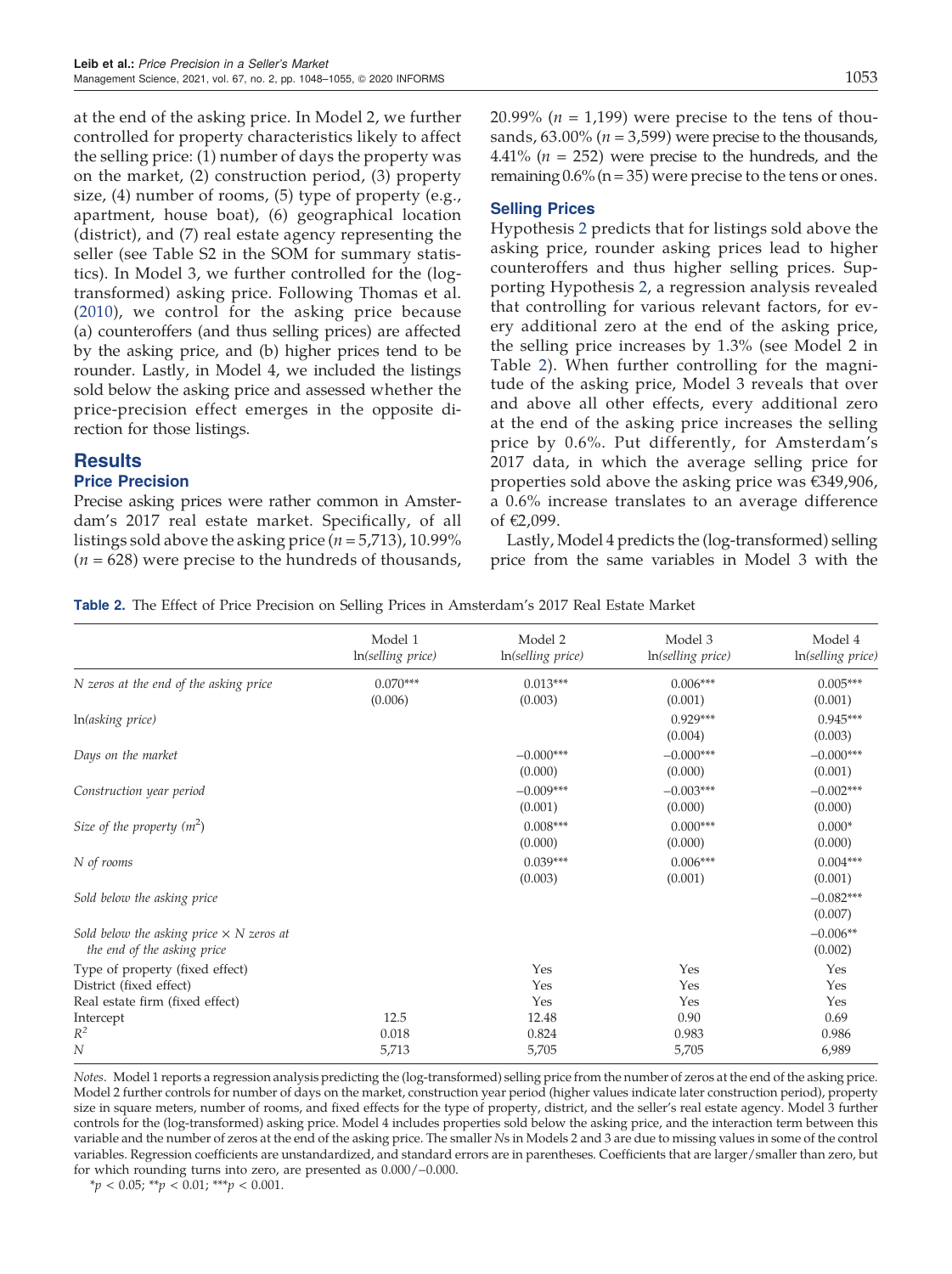at the end of the asking price. In Model 2, we further controlled for property characteristics likely to affect the selling price: (1) number of days the property was on the market, (2) construction period, (3) property size, (4) number of rooms, (5) type of property (e.g., apartment, house boat), (6) geographical location (district), and (7) real estate agency representing the seller (see Table S2 in the SOM for summary statistics). In Model 3, we further controlled for the (logtransformed) asking price. Following Thomas et al. ([2010\)](#page-9-16), we control for the asking price because (a) counteroffers (and thus selling prices) are affected by the asking price, and (b) higher prices tend to be rounder. Lastly, in Model 4, we included the listings sold below the asking price and assessed whether the price-precision effect emerges in the opposite direction for those listings.

## **Results**

#### Price Precision

Precise asking prices were rather common in Amsterdam's 2017 real estate market. Specifically, of all listings sold above the asking price ( $n = 5,713$ ), 10.99%  $(n = 628)$  were precise to the hundreds of thousands,

### Selling Prices

Hypothesis [2](#page-3-0) predicts that for listings sold above the asking price, rounder asking prices lead to higher counteroffers and thus higher selling prices. Supporting Hypothesis [2,](#page-3-0) a regression analysis revealed that controlling for various relevant factors, for every additional zero at the end of the asking price, the selling price increases by 1.3% (see Model 2 in Table [2\)](#page-7-0). When further controlling for the magnitude of the asking price, Model 3 reveals that over and above all other effects, every additional zero at the end of the asking price increases the selling price by 0.6%. Put differently, for Amsterdam's 2017 data, in which the average selling price for properties sold above the asking price was €349,906, a 0.6% increase translates to an average difference of €2,099.

Lastly, Model 4 predicts the (log-transformed) selling price from the same variables in Model 3 with the

<span id="page-7-0"></span>Table 2. The Effect of Price Precision on Selling Prices in Amsterdam's 2017 Real Estate Market

|                                                                                | Model 1<br>In(selling price) | Model 2<br>In(selling price) | Model 3<br>In(selling price) | Model 4<br>In(selling price) |
|--------------------------------------------------------------------------------|------------------------------|------------------------------|------------------------------|------------------------------|
| N zeros at the end of the asking price                                         | $0.070***$<br>(0.006)        | $0.013***$<br>(0.003)        | $0.006***$<br>(0.001)        | $0.005***$<br>(0.001)        |
| In(asking price)                                                               |                              |                              | $0.929***$<br>(0.004)        | $0.945***$<br>(0.003)        |
| Days on the market                                                             |                              | $-0.000***$<br>(0.000)       | $-0.000***$<br>(0.000)       | $-0.000***$<br>(0.001)       |
| Construction year period                                                       |                              | $-0.009***$<br>(0.001)       | $-0.003***$<br>(0.000)       | $-0.002***$<br>(0.000)       |
| Size of the property $(m^2)$                                                   |                              | $0.008***$<br>(0.000)        | $0.000***$<br>(0.000)        | $0.000*$<br>(0.000)          |
| N of rooms                                                                     |                              | $0.039***$<br>(0.003)        | $0.006***$<br>(0.001)        | $0.004***$<br>(0.001)        |
| Sold below the asking price                                                    |                              |                              |                              | $-0.082***$<br>(0.007)       |
| Sold below the asking price $\times$ N zeros at<br>the end of the asking price |                              |                              |                              | $-0.006**$<br>(0.002)        |
| Type of property (fixed effect)                                                |                              | Yes                          | Yes                          | Yes                          |
| District (fixed effect)                                                        |                              | Yes                          | Yes                          | Yes                          |
| Real estate firm (fixed effect)                                                |                              | Yes                          | Yes                          | Yes                          |
| Intercept                                                                      | 12.5                         | 12.48                        | 0.90                         | 0.69                         |
| $R^2$                                                                          | 0.018                        | 0.824                        | 0.983                        | 0.986                        |
| $\overline{N}$                                                                 | 5,713                        | 5,705                        | 5,705                        | 6,989                        |

Notes. Model 1 reports a regression analysis predicting the (log-transformed) selling price from the number of zeros at the end of the asking price. Model 2 further controls for number of days on the market, construction year period (higher values indicate later construction period), property size in square meters, number of rooms, and fixed effects for the type of property, district, and the seller's real estate agency. Model 3 further controls for the (log-transformed) asking price. Model 4 includes properties sold below the asking price, and the interaction term between this variable and the number of zeros at the end of the asking price. The smaller Ns in Models 2 and 3 are due to missing values in some of the control variables. Regression coefficients are unstandardized, and standard errors are in parentheses. Coefficients that are larger/smaller than zero, but for which rounding turns into zero, are presented as 0.000/−0.000.

 $**p* < 0.05; ***p* < 0.01; ***p* < 0.001.$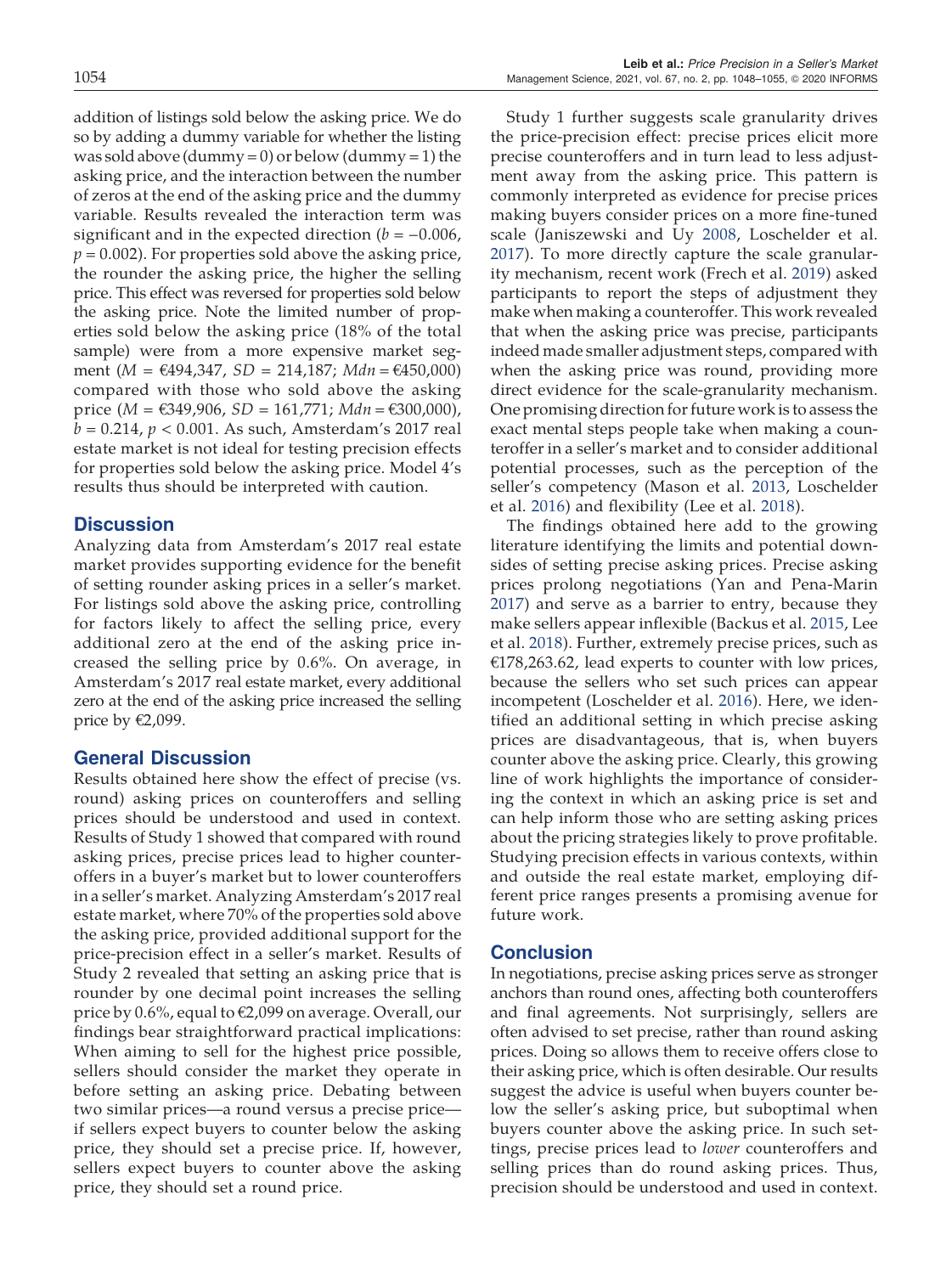addition of listings sold below the asking price. We do so by adding a dummy variable for whether the listing was sold above (dummy = 0) or below (dummy = 1) the asking price, and the interaction between the number of zeros at the end of the asking price and the dummy variable. Results revealed the interaction term was significant and in the expected direction  $(b = -0.006)$ ,  $p = 0.002$ ). For properties sold above the asking price, the rounder the asking price, the higher the selling price. This effect was reversed for properties sold below the asking price. Note the limited number of properties sold below the asking price (18% of the total sample) were from a more expensive market segment (*M* = €494,347, *SD* = 214,187; *Mdn* = €450,000) compared with those who sold above the asking price (*M* = €349,906, *SD* = 161,771; *Mdn* = €300,000),  $b = 0.214$ ,  $p < 0.001$ . As such, Amsterdam's 2017 real estate market is not ideal for testing precision effects for properties sold below the asking price. Model 4's results thus should be interpreted with caution.

## **Discussion**

Analyzing data from Amsterdam's 2017 real estate market provides supporting evidence for the benefit of setting rounder asking prices in a seller's market. For listings sold above the asking price, controlling for factors likely to affect the selling price, every additional zero at the end of the asking price increased the selling price by 0.6%. On average, in Amsterdam's 2017 real estate market, every additional zero at the end of the asking price increased the selling price by €2,099.

#### General Discussion

Results obtained here show the effect of precise (vs. round) asking prices on counteroffers and selling prices should be understood and used in context. Results of Study 1 showed that compared with round asking prices, precise prices lead to higher counteroffers in a buyer's market but to lower counteroffers in a seller's market. Analyzing Amsterdam's 2017 real estate market, where 70% of the properties sold above the asking price, provided additional support for the price-precision effect in a seller's market. Results of Study 2 revealed that setting an asking price that is rounder by one decimal point increases the selling price by 0.6%, equal to €2,099 on average. Overall, our findings bear straightforward practical implications: When aiming to sell for the highest price possible, sellers should consider the market they operate in before setting an asking price. Debating between two similar prices—a round versus a precise price if sellers expect buyers to counter below the asking price, they should set a precise price. If, however, sellers expect buyers to counter above the asking price, they should set a round price.

Study 1 further suggests scale granularity drives the price-precision effect: precise prices elicit more precise counteroffers and in turn lead to less adjustment away from the asking price. This pattern is commonly interpreted as evidence for precise prices making buyers consider prices on a more fine-tuned scale (Janiszewski and Uy [2008,](#page-9-4) Loschelder et al. [2017](#page-9-15)). To more directly capture the scale granularity mechanism, recent work (Frech et al. [2019\)](#page-9-7) asked participants to report the steps of adjustment they make when making a counteroffer. This work revealed that when the asking price was precise, participants indeed made smaller adjustment steps, compared with when the asking price was round, providing more direct evidence for the scale-granularity mechanism. One promising direction for future work is to assess the exact mental steps people take when making a counteroffer in a seller's market and to consider additional potential processes, such as the perception of the seller's competency (Mason et al. [2013](#page-9-5), Loschelder et al. [2016](#page-9-19)) and flexibility (Lee et al. [2018\)](#page-9-22).

The findings obtained here add to the growing literature identifying the limits and potential downsides of setting precise asking prices. Precise asking prices prolong negotiations (Yan and Pena-Marin [2017](#page-9-23)) and serve as a barrier to entry, because they make sellers appear inflexible (Backus et al. [2015,](#page-9-24) Lee et al. [2018\)](#page-9-22). Further, extremely precise prices, such as  $E178,263.62$ , lead experts to counter with low prices, because the sellers who set such prices can appear incompetent (Loschelder et al. [2016\)](#page-9-19). Here, we identified an additional setting in which precise asking prices are disadvantageous, that is, when buyers counter above the asking price. Clearly, this growing line of work highlights the importance of considering the context in which an asking price is set and can help inform those who are setting asking prices about the pricing strategies likely to prove profitable. Studying precision effects in various contexts, within and outside the real estate market, employing different price ranges presents a promising avenue for future work.

#### Conclusion

In negotiations, precise asking prices serve as stronger anchors than round ones, affecting both counteroffers and final agreements. Not surprisingly, sellers are often advised to set precise, rather than round asking prices. Doing so allows them to receive offers close to their asking price, which is often desirable. Our results suggest the advice is useful when buyers counter below the seller's asking price, but suboptimal when buyers counter above the asking price. In such settings, precise prices lead to lower counteroffers and selling prices than do round asking prices. Thus, precision should be understood and used in context.